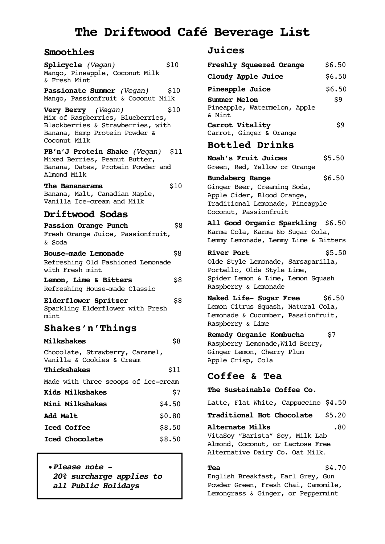# **The Driftwood Café Beverage List**

## **Smoothies**

| Splicycle (Vegan)<br>Mango, Pineapple, Coconut Milk<br>& Fresh Mint                                                                          | \$10   |
|----------------------------------------------------------------------------------------------------------------------------------------------|--------|
| Passionate Summer (Vegan)<br>Mango, Passionfruit & Coconut Milk                                                                              | S10    |
| Very Berry (Vegan)<br>Mix of Raspberries, Blueberries,<br>Blackberries & Strawberries, with<br>Banana, Hemp Protein Powder &<br>Coconut Milk | \$10   |
| PB'n'J Protein Shake (Vegan) \$11<br>Mixed Berries, Peanut Butter,<br>Banana, Dates, Protein Powder and<br>Almond Milk                       |        |
| The Bananarama<br>Banana, Malt, Canadian Maple,<br>Vanilla Ice-cream and Milk                                                                | \$10   |
| <b>Driftwood Sodas</b>                                                                                                                       |        |
| Passion Orange Punch<br>Fresh Orange Juice, Passionfruit,<br>& Soda                                                                          | \$8    |
| <b>House-made Lemonade</b><br>Refreshing Old Fashioned Lemonade<br>with Fresh mint                                                           | \$8    |
| <b>Lemon, Lime &amp; Bitters</b><br>Refreshing House-made Classic                                                                            | \$8    |
| Elderflower Spritzer<br>Sparkling Elderflower with Fresh<br>mint                                                                             | \$8    |
| <b>Shakes'n'Things</b>                                                                                                                       |        |
| <b>Milkshakes</b>                                                                                                                            | \$8    |
| Chocolate, Strawberry, Caramel,<br>Vanilla & Cookies & Cream                                                                                 |        |
| Thickshakes                                                                                                                                  | \$11   |
| Made with three scoops of ice-cream                                                                                                          |        |
| <b>Kids Milkshakes</b>                                                                                                                       | \$7    |
| <b>Mini Milkshakes</b>                                                                                                                       | \$4.50 |
| <b>Add Malt</b>                                                                                                                              | \$0.80 |
| <b>Iced Coffee</b>                                                                                                                           | \$8.50 |
| Iced Chocolate                                                                                                                               | \$8.50 |

•*Please note - 20% surcharge applies to all Public Holidays*

### **Juices**

| <b>JUICES</b>                                                                                                                                      |        |
|----------------------------------------------------------------------------------------------------------------------------------------------------|--------|
| Freshly Squeezed Orange                                                                                                                            | \$6.50 |
| Cloudy Apple Juice                                                                                                                                 | \$6.50 |
| Pineapple Juice                                                                                                                                    | \$6.50 |
| Summer Melon<br>Pineapple, Watermelon, Apple<br>& Mint                                                                                             | \$9    |
| Carrot Vitality<br>Carrot, Ginger & Orange                                                                                                         | \$9    |
| <b>Bottled Drinks</b>                                                                                                                              |        |
| Noah's Fruit Juices<br>Green, Red, Yellow or Orange                                                                                                | \$5.50 |
| <b>Bundaberg Range</b><br>Ginger Beer, Creaming Soda,<br>Apple Cider, Blood Orange,<br>Traditional Lemonade, Pineapple<br>Coconut, Passionfruit    | \$6.50 |
| All Good Organic Sparkling \$6.50<br>Karma Cola, Karma No Sugar Cola,<br>Lemmy Lemonade, Lemmy Lime & Bitters                                      |        |
| <b>River Port</b><br>Olde Style Lemonade, Sarsaparilla,<br>Portello, Olde Style Lime,<br>Spider Lemon & Lime, Lemon Squash<br>Raspberry & Lemonade | \$5.50 |
| Naked Life- Sugar Free \$6.50<br>Lemon Citrus Squash, Natural Cola,<br>Lemonade & Cucumber, Passionfruit,<br>Raspberry & Lime                      |        |
| Remedy Organic Kombucha<br>Raspberry Lemonade, Wild Berry,<br>Ginger Lemon, Cherry Plum<br>Apple Crisp, Cola                                       | \$7    |
| Coffee & Tea                                                                                                                                       |        |
| The Sustainable Coffee Co.                                                                                                                         |        |
| Latte, Flat White, Cappuccino \$4.50                                                                                                               |        |
| Traditional Hot Chocolate \$5.20                                                                                                                   |        |
| Alternate Milks<br>VitaSoy "Barista" Soy, Milk Lab                                                                                                 | .80    |

Almond, Coconut, or Lactose Free Alternative Dairy Co. Oat Milk.

**Tea**  $$4.70$ 

English Breakfast, Earl Grey, Gun Powder Green, Fresh Chai, Camomile, Lemongrass & Ginger, or Peppermint